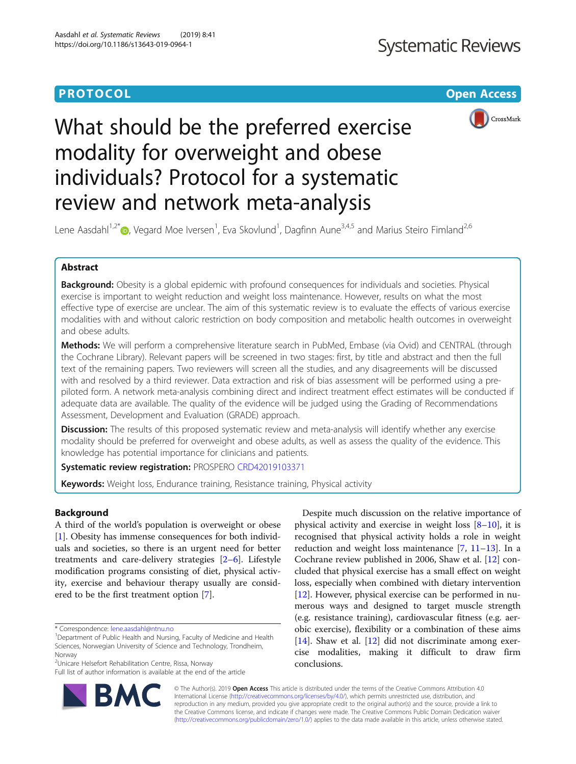# **PROTOCOL CONSUMING THE OPEN ACCESS**



# What should be the preferred exercise modality for overweight and obese individuals? Protocol for a systematic review and network meta-analysis

Lene Aasdahl<sup>1,2\*</sup>®, Vegard Moe Iversen<sup>1</sup>, Eva Skovlund<sup>1</sup>, Dagfinn Aune<sup>3,4,5</sup> and Marius Steiro Fimland<sup>2,6</sup>

# Abstract

Background: Obesity is a global epidemic with profound consequences for individuals and societies. Physical exercise is important to weight reduction and weight loss maintenance. However, results on what the most effective type of exercise are unclear. The aim of this systematic review is to evaluate the effects of various exercise modalities with and without caloric restriction on body composition and metabolic health outcomes in overweight and obese adults.

Methods: We will perform a comprehensive literature search in PubMed, Embase (via Ovid) and CENTRAL (through the Cochrane Library). Relevant papers will be screened in two stages: first, by title and abstract and then the full text of the remaining papers. Two reviewers will screen all the studies, and any disagreements will be discussed with and resolved by a third reviewer. Data extraction and risk of bias assessment will be performed using a prepiloted form. A network meta-analysis combining direct and indirect treatment effect estimates will be conducted if adequate data are available. The quality of the evidence will be judged using the Grading of Recommendations Assessment, Development and Evaluation (GRADE) approach.

**Discussion:** The results of this proposed systematic review and meta-analysis will identify whether any exercise modality should be preferred for overweight and obese adults, as well as assess the quality of the evidence. This knowledge has potential importance for clinicians and patients.

Systematic review registration: PROSPERO [CRD42019103371](https://www.crd.york.ac.uk/prospero/display_record.php?RecordID=103371)

Keywords: Weight loss, Endurance training, Resistance training, Physical activity

# Background

A third of the world's population is overweight or obese [[1\]](#page-4-0). Obesity has immense consequences for both individuals and societies, so there is an urgent need for better treatments and care-delivery strategies [\[2](#page-4-0)–[6](#page-4-0)]. Lifestyle modification programs consisting of diet, physical activity, exercise and behaviour therapy usually are considered to be the first treatment option [\[7](#page-4-0)].

<sup>2</sup>Unicare Helsefort Rehabilitation Centre, Rissa, Norway

Full list of author information is available at the end of the article



Despite much discussion on the relative importance of physical activity and exercise in weight loss  $[8-10]$  $[8-10]$  $[8-10]$ , it is recognised that physical activity holds a role in weight reduction and weight loss maintenance  $[7, 11-13]$  $[7, 11-13]$  $[7, 11-13]$  $[7, 11-13]$  $[7, 11-13]$  $[7, 11-13]$  $[7, 11-13]$ . In a Cochrane review published in 2006, Shaw et al. [\[12](#page-4-0)] concluded that physical exercise has a small effect on weight loss, especially when combined with dietary intervention [[12\]](#page-4-0). However, physical exercise can be performed in numerous ways and designed to target muscle strength (e.g. resistance training), cardiovascular fitness (e.g. aerobic exercise), flexibility or a combination of these aims [[14\]](#page-4-0). Shaw et al. [\[12](#page-4-0)] did not discriminate among exercise modalities, making it difficult to draw firm conclusions.

© The Author(s). 2019 Open Access This article is distributed under the terms of the Creative Commons Attribution 4.0 International License [\(http://creativecommons.org/licenses/by/4.0/](http://creativecommons.org/licenses/by/4.0/)), which permits unrestricted use, distribution, and reproduction in any medium, provided you give appropriate credit to the original author(s) and the source, provide a link to the Creative Commons license, and indicate if changes were made. The Creative Commons Public Domain Dedication waiver [\(http://creativecommons.org/publicdomain/zero/1.0/](http://creativecommons.org/publicdomain/zero/1.0/)) applies to the data made available in this article, unless otherwise stated.

<sup>\*</sup> Correspondence: [lene.aasdahl@ntnu.no](mailto:lene.aasdahl@ntnu.no) <sup>1</sup>

<sup>&</sup>lt;sup>1</sup>Department of Public Health and Nursing, Faculty of Medicine and Health Sciences, Norwegian University of Science and Technology, Trondheim, Norway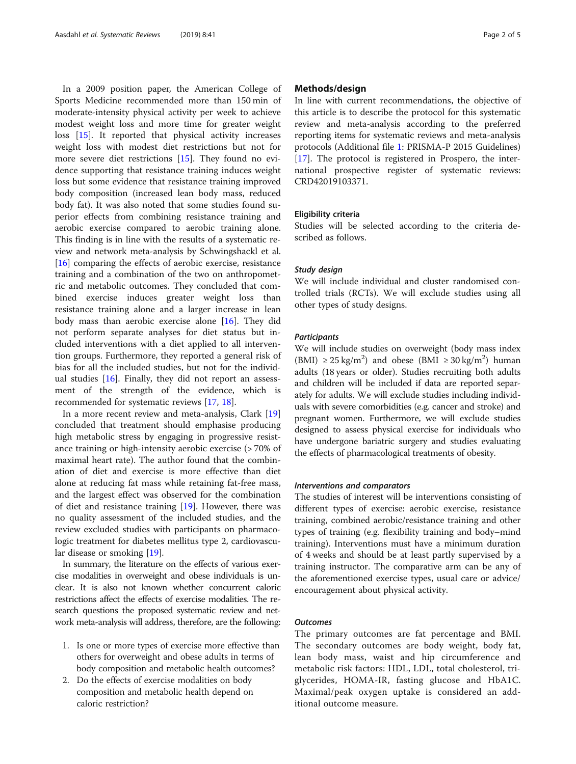In a 2009 position paper, the American College of Sports Medicine recommended more than 150 min of moderate-intensity physical activity per week to achieve modest weight loss and more time for greater weight loss [\[15](#page-4-0)]. It reported that physical activity increases weight loss with modest diet restrictions but not for more severe diet restrictions [\[15](#page-4-0)]. They found no evidence supporting that resistance training induces weight loss but some evidence that resistance training improved body composition (increased lean body mass, reduced body fat). It was also noted that some studies found superior effects from combining resistance training and aerobic exercise compared to aerobic training alone. This finding is in line with the results of a systematic review and network meta-analysis by Schwingshackl et al. [[16\]](#page-4-0) comparing the effects of aerobic exercise, resistance training and a combination of the two on anthropometric and metabolic outcomes. They concluded that combined exercise induces greater weight loss than resistance training alone and a larger increase in lean body mass than aerobic exercise alone [[16\]](#page-4-0). They did not perform separate analyses for diet status but included interventions with a diet applied to all intervention groups. Furthermore, they reported a general risk of bias for all the included studies, but not for the individual studies [\[16\]](#page-4-0). Finally, they did not report an assessment of the strength of the evidence, which is recommended for systematic reviews [\[17](#page-4-0), [18](#page-4-0)].

In a more recent review and meta-analysis, Clark [[19](#page-4-0)] concluded that treatment should emphasise producing high metabolic stress by engaging in progressive resistance training or high-intensity aerobic exercise (> 70% of maximal heart rate). The author found that the combination of diet and exercise is more effective than diet alone at reducing fat mass while retaining fat-free mass, and the largest effect was observed for the combination of diet and resistance training [[19](#page-4-0)]. However, there was no quality assessment of the included studies, and the review excluded studies with participants on pharmacologic treatment for diabetes mellitus type 2, cardiovascular disease or smoking [\[19](#page-4-0)].

In summary, the literature on the effects of various exercise modalities in overweight and obese individuals is unclear. It is also not known whether concurrent caloric restrictions affect the effects of exercise modalities. The research questions the proposed systematic review and network meta-analysis will address, therefore, are the following:

- 1. Is one or more types of exercise more effective than others for overweight and obese adults in terms of body composition and metabolic health outcomes?
- 2. Do the effects of exercise modalities on body composition and metabolic health depend on caloric restriction?

# Methods/design

In line with current recommendations, the objective of this article is to describe the protocol for this systematic review and meta-analysis according to the preferred reporting items for systematic reviews and meta-analysis protocols (Additional file [1:](#page-3-0) PRISMA-P 2015 Guidelines) [[17\]](#page-4-0). The protocol is registered in Prospero, the international prospective register of systematic reviews: CRD42019103371.

### Eligibility criteria

Studies will be selected according to the criteria described as follows.

# Study design

We will include individual and cluster randomised controlled trials (RCTs). We will exclude studies using all other types of study designs.

# **Participants**

We will include studies on overweight (body mass index (BMI)  $\geq$  25 kg/m<sup>2</sup>) and obese (BMI  $\geq$  30 kg/m<sup>2</sup>) human adults (18 years or older). Studies recruiting both adults and children will be included if data are reported separately for adults. We will exclude studies including individuals with severe comorbidities (e.g. cancer and stroke) and pregnant women. Furthermore, we will exclude studies designed to assess physical exercise for individuals who have undergone bariatric surgery and studies evaluating the effects of pharmacological treatments of obesity.

#### Interventions and comparators

The studies of interest will be interventions consisting of different types of exercise: aerobic exercise, resistance training, combined aerobic/resistance training and other types of training (e.g. flexibility training and body–mind training). Interventions must have a minimum duration of 4 weeks and should be at least partly supervised by a training instructor. The comparative arm can be any of the aforementioned exercise types, usual care or advice/ encouragement about physical activity.

# **Outcomes**

The primary outcomes are fat percentage and BMI. The secondary outcomes are body weight, body fat, lean body mass, waist and hip circumference and metabolic risk factors: HDL, LDL, total cholesterol, triglycerides, HOMA-IR, fasting glucose and HbA1C. Maximal/peak oxygen uptake is considered an additional outcome measure.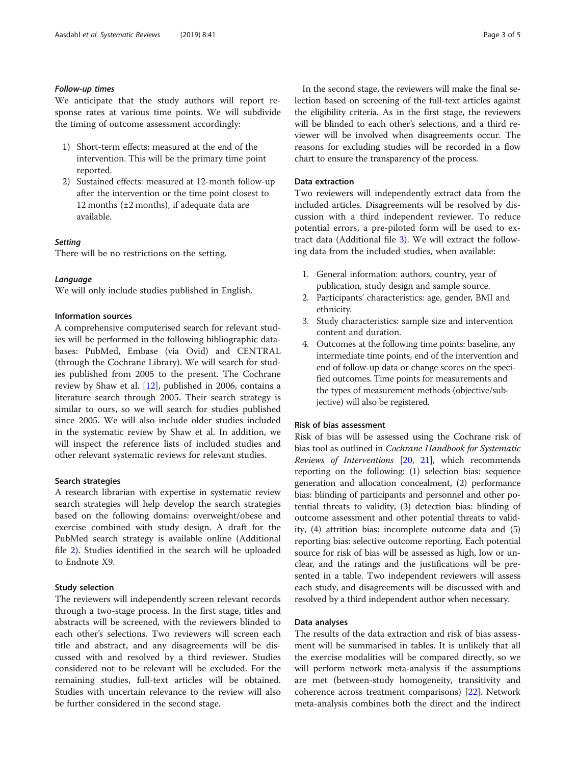# Follow-up times

We anticipate that the study authors will report response rates at various time points. We will subdivide the timing of outcome assessment accordingly:

- 1) Short-term effects: measured at the end of the intervention. This will be the primary time point reported.
- 2) Sustained effects: measured at 12-month follow-up after the intervention or the time point closest to 12 months ( $\pm 2$  months), if adequate data are available.

# **Setting**

There will be no restrictions on the setting.

#### Language

We will only include studies published in English.

# Information sources

A comprehensive computerised search for relevant studies will be performed in the following bibliographic databases: PubMed, Embase (via Ovid) and CENTRAL (through the Cochrane Library). We will search for studies published from 2005 to the present. The Cochrane review by Shaw et al. [[12\]](#page-4-0), published in 2006, contains a literature search through 2005. Their search strategy is similar to ours, so we will search for studies published since 2005. We will also include older studies included in the systematic review by Shaw et al. In addition, we will inspect the reference lists of included studies and other relevant systematic reviews for relevant studies.

#### Search strategies

A research librarian with expertise in systematic review search strategies will help develop the search strategies based on the following domains: overweight/obese and exercise combined with study design. A draft for the PubMed search strategy is available online (Additional file [2\)](#page-3-0). Studies identified in the search will be uploaded to Endnote X9.

#### Study selection

The reviewers will independently screen relevant records through a two-stage process. In the first stage, titles and abstracts will be screened, with the reviewers blinded to each other's selections. Two reviewers will screen each title and abstract, and any disagreements will be discussed with and resolved by a third reviewer. Studies considered not to be relevant will be excluded. For the remaining studies, full-text articles will be obtained. Studies with uncertain relevance to the review will also be further considered in the second stage.

In the second stage, the reviewers will make the final selection based on screening of the full-text articles against the eligibility criteria. As in the first stage, the reviewers will be blinded to each other's selections, and a third reviewer will be involved when disagreements occur. The reasons for excluding studies will be recorded in a flow chart to ensure the transparency of the process.

#### Data extraction

Two reviewers will independently extract data from the included articles. Disagreements will be resolved by discussion with a third independent reviewer. To reduce potential errors, a pre-piloted form will be used to extract data (Additional file [3\)](#page-3-0). We will extract the following data from the included studies, when available:

- 1. General information: authors, country, year of publication, study design and sample source.
- 2. Participants' characteristics: age, gender, BMI and ethnicity.
- 3. Study characteristics: sample size and intervention content and duration.
- 4. Outcomes at the following time points: baseline, any intermediate time points, end of the intervention and end of follow-up data or change scores on the specified outcomes. Time points for measurements and the types of measurement methods (objective/subjective) will also be registered.

#### Risk of bias assessment

Risk of bias will be assessed using the Cochrane risk of bias tool as outlined in Cochrane Handbook for Systematic Reviews of Interventions [[20](#page-4-0), [21](#page-4-0)], which recommends reporting on the following: (1) selection bias: sequence generation and allocation concealment, (2) performance bias: blinding of participants and personnel and other potential threats to validity, (3) detection bias: blinding of outcome assessment and other potential threats to validity, (4) attrition bias: incomplete outcome data and (5) reporting bias: selective outcome reporting. Each potential source for risk of bias will be assessed as high, low or unclear, and the ratings and the justifications will be presented in a table. Two independent reviewers will assess each study, and disagreements will be discussed with and resolved by a third independent author when necessary.

### Data analyses

The results of the data extraction and risk of bias assessment will be summarised in tables. It is unlikely that all the exercise modalities will be compared directly, so we will perform network meta-analysis if the assumptions are met (between-study homogeneity, transitivity and coherence across treatment comparisons) [\[22\]](#page-4-0). Network meta-analysis combines both the direct and the indirect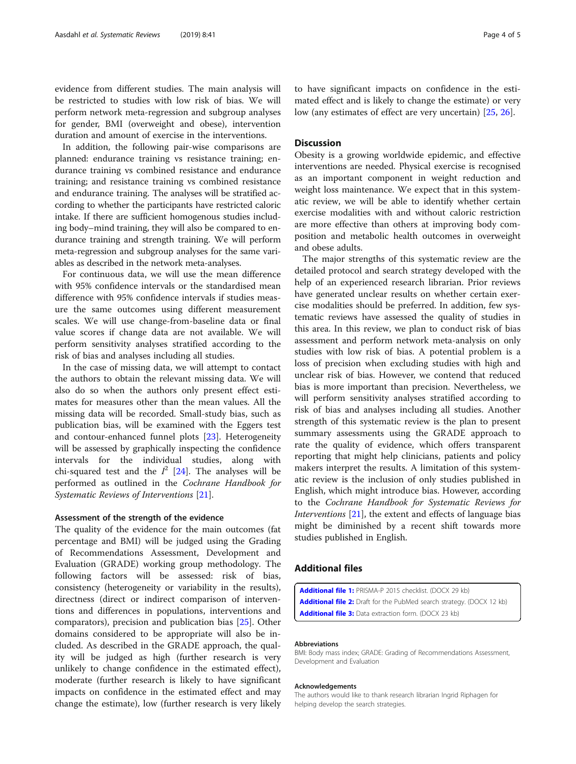<span id="page-3-0"></span>evidence from different studies. The main analysis will be restricted to studies with low risk of bias. We will perform network meta-regression and subgroup analyses for gender, BMI (overweight and obese), intervention duration and amount of exercise in the interventions.

In addition, the following pair-wise comparisons are planned: endurance training vs resistance training; endurance training vs combined resistance and endurance training; and resistance training vs combined resistance and endurance training. The analyses will be stratified according to whether the participants have restricted caloric intake. If there are sufficient homogenous studies including body–mind training, they will also be compared to endurance training and strength training. We will perform meta-regression and subgroup analyses for the same variables as described in the network meta-analyses.

For continuous data, we will use the mean difference with 95% confidence intervals or the standardised mean difference with 95% confidence intervals if studies measure the same outcomes using different measurement scales. We will use change-from-baseline data or final value scores if change data are not available. We will perform sensitivity analyses stratified according to the risk of bias and analyses including all studies.

In the case of missing data, we will attempt to contact the authors to obtain the relevant missing data. We will also do so when the authors only present effect estimates for measures other than the mean values. All the missing data will be recorded. Small-study bias, such as publication bias, will be examined with the Eggers test and contour-enhanced funnel plots [[23](#page-4-0)]. Heterogeneity will be assessed by graphically inspecting the confidence intervals for the individual studies, along with chi-squared test and the  $I^2$  [\[24\]](#page-4-0). The analyses will be performed as outlined in the Cochrane Handbook for Systematic Reviews of Interventions [[21\]](#page-4-0).

## Assessment of the strength of the evidence

The quality of the evidence for the main outcomes (fat percentage and BMI) will be judged using the Grading of Recommendations Assessment, Development and Evaluation (GRADE) working group methodology. The following factors will be assessed: risk of bias, consistency (heterogeneity or variability in the results), directness (direct or indirect comparison of interventions and differences in populations, interventions and comparators), precision and publication bias [[25](#page-4-0)]. Other domains considered to be appropriate will also be included. As described in the GRADE approach, the quality will be judged as high (further research is very unlikely to change confidence in the estimated effect), moderate (further research is likely to have significant impacts on confidence in the estimated effect and may change the estimate), low (further research is very likely

to have significant impacts on confidence in the estimated effect and is likely to change the estimate) or very low (any estimates of effect are very uncertain) [[25,](#page-4-0) [26\]](#page-4-0).

# **Discussion**

Obesity is a growing worldwide epidemic, and effective interventions are needed. Physical exercise is recognised as an important component in weight reduction and weight loss maintenance. We expect that in this systematic review, we will be able to identify whether certain exercise modalities with and without caloric restriction are more effective than others at improving body composition and metabolic health outcomes in overweight and obese adults.

The major strengths of this systematic review are the detailed protocol and search strategy developed with the help of an experienced research librarian. Prior reviews have generated unclear results on whether certain exercise modalities should be preferred. In addition, few systematic reviews have assessed the quality of studies in this area. In this review, we plan to conduct risk of bias assessment and perform network meta-analysis on only studies with low risk of bias. A potential problem is a loss of precision when excluding studies with high and unclear risk of bias. However, we contend that reduced bias is more important than precision. Nevertheless, we will perform sensitivity analyses stratified according to risk of bias and analyses including all studies. Another strength of this systematic review is the plan to present summary assessments using the GRADE approach to rate the quality of evidence, which offers transparent reporting that might help clinicians, patients and policy makers interpret the results. A limitation of this systematic review is the inclusion of only studies published in English, which might introduce bias. However, according to the Cochrane Handbook for Systematic Reviews for Interventions [[21](#page-4-0)], the extent and effects of language bias might be diminished by a recent shift towards more studies published in English.

# Additional files

[Additional file 1:](https://doi.org/10.1186/s13643-019-0964-1) PRISMA-P 2015 checklist. (DOCX 29 kb) [Additional file 2:](https://doi.org/10.1186/s13643-019-0964-1) Draft for the PubMed search strategy. (DOCX 12 kb) [Additional file 3:](https://doi.org/10.1186/s13643-019-0964-1) Data extraction form. (DOCX 23 kb)

#### Abbreviations

BMI: Body mass index; GRADE: Grading of Recommendations Assessment, Development and Evaluation

#### Acknowledgements

The authors would like to thank research librarian Ingrid Riphagen for helping develop the search strategies.